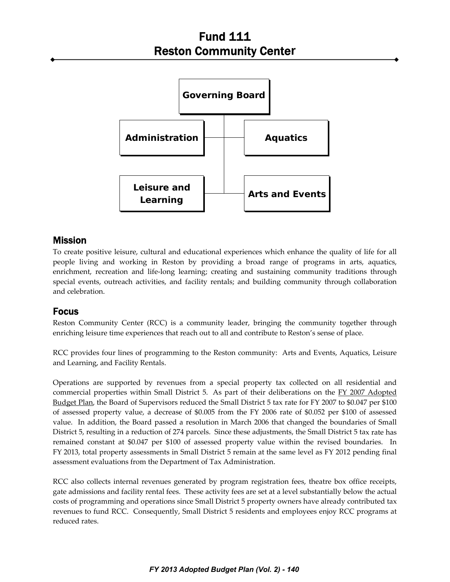

## Mission

To create positive leisure, cultural and educational experiences which enhance the quality of life for all people living and working in Reston by providing a broad range of programs in arts, aquatics, enrichment, recreation and life-long learning; creating and sustaining community traditions through special events, outreach activities, and facility rentals; and building community through collaboration and celebration.

## Focus

Reston Community Center (RCC) is a community leader, bringing the community together through enriching leisure time experiences that reach out to all and contribute to Reston's sense of place.

RCC provides four lines of programming to the Reston community: Arts and Events, Aquatics, Leisure and Learning, and Facility Rentals.

Operations are supported by revenues from a special property tax collected on all residential and commercial properties within Small District 5. As part of their deliberations on the FY 2007 Adopted Budget Plan, the Board of Supervisors reduced the Small District 5 tax rate for FY 2007 to \$0.047 per \$100 of assessed property value, a decrease of \$0.005 from the FY 2006 rate of \$0.052 per \$100 of assessed value. In addition, the Board passed a resolution in March 2006 that changed the boundaries of Small District 5, resulting in a reduction of 274 parcels. Since these adjustments, the Small District 5 tax rate has remained constant at \$0.047 per \$100 of assessed property value within the revised boundaries. In FY 2013, total property assessments in Small District 5 remain at the same level as FY 2012 pending final assessment evaluations from the Department of Tax Administration.

RCC also collects internal revenues generated by program registration fees, theatre box office receipts, gate admissions and facility rental fees. These activity fees are set at a level substantially below the actual costs of programming and operations since Small District 5 property owners have already contributed tax revenues to fund RCC. Consequently, Small District 5 residents and employees enjoy RCC programs at reduced rates.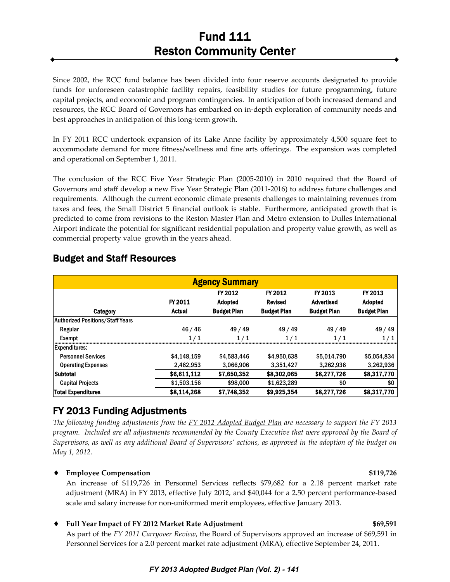Since 2002, the RCC fund balance has been divided into four reserve accounts designated to provide funds for unforeseen catastrophic facility repairs, feasibility studies for future programming, future capital projects, and economic and program contingencies. In anticipation of both increased demand and resources, the RCC Board of Governors has embarked on in‐depth exploration of community needs and best approaches in anticipation of this long‐term growth.

In FY 2011 RCC undertook expansion of its Lake Anne facility by approximately 4,500 square feet to accommodate demand for more fitness/wellness and fine arts offerings. The expansion was completed and operational on September 1, 2011.

The conclusion of the RCC Five Year Strategic Plan (2005‐2010) in 2010 required that the Board of Governors and staff develop a new Five Year Strategic Plan (2011‐2016) to address future challenges and requirements. Although the current economic climate presents challenges to maintaining revenues from taxes and fees, the Small District 5 financial outlook is stable. Furthermore, anticipated growth that is predicted to come from revisions to the Reston Master Plan and Metro extension to Dulles International Airport indicate the potential for significant residential population and property value growth, as well as commercial property value growth in the years ahead.

| <b>Agency Summary</b>                   |                          |                                                 |                                                 |                                                    |                                                 |
|-----------------------------------------|--------------------------|-------------------------------------------------|-------------------------------------------------|----------------------------------------------------|-------------------------------------------------|
| Category                                | FY 2011<br><b>Actual</b> | FY 2012<br><b>Adopted</b><br><b>Budget Plan</b> | FY 2012<br><b>Revised</b><br><b>Budget Plan</b> | FY 2013<br><b>Advertised</b><br><b>Budget Plan</b> | FY 2013<br><b>Adopted</b><br><b>Budget Plan</b> |
| <b>Authorized Positions/Staff Years</b> |                          |                                                 |                                                 |                                                    |                                                 |
| Regular                                 | 46/46                    | 49 / 49                                         | 49 / 49                                         | 49 / 49                                            | 49 / 49                                         |
| Exempt                                  | 1/1                      | 1/1                                             | 1/1                                             | 1/1                                                | 1/1                                             |
| <b>Expenditures:</b>                    |                          |                                                 |                                                 |                                                    |                                                 |
| <b>Personnel Services</b>               | \$4,148,159              | \$4,583,446                                     | \$4,950,638                                     | \$5,014,790                                        | \$5,054,834                                     |
| <b>Operating Expenses</b>               | 2,462,953                | 3,066,906                                       | 3,351,427                                       | 3,262,936                                          | 3,262,936                                       |
| <b>Subtotal</b>                         | \$6,611,112              | \$7,650,352                                     | \$8,302,065                                     | \$8,277,726                                        | \$8,317,770                                     |
| <b>Capital Projects</b>                 | \$1,503,156              | \$98,000                                        | \$1,623,289                                     | \$0                                                | \$0                                             |
| <b>Total Expenditures</b>               | \$8,114,268              | \$7,748,352                                     | \$9,925,354                                     | \$8,277,726                                        | \$8,317,770                                     |

# Budget and Staff Resources

# FY 2013 Funding Adjustments

The following funding adjustments from the  $\frac{FY}{2012}$  Adopted Budget Plan are necessary to support the FY 2013 program. Included are all adjustments recommended by the County Executive that were approved by the Board of Supervisors, as well as any additional Board of Supervisors' actions, as approved in the adoption of the budget on *May 1, 2012.*

### ♦ **Employee Compensation \$119,726**

An increase of \$119,726 in Personnel Services reflects \$79,682 for a 2.18 percent market rate adjustment (MRA) in FY 2013, effective July 2012, and \$40,044 for a 2.50 percent performance‐based scale and salary increase for non‐uniformed merit employees, effective January 2013.

### ♦ **Full Year Impact of FY 2012 Market Rate Adjustment \$69,591**

As part of the *FY 2011 Carryover Review*, the Board of Supervisors approved an increase of \$69,591 in Personnel Services for a 2.0 percent market rate adjustment (MRA), effective September 24, 2011.

### *FY 2013 Adopted Budget Plan (Vol. 2) - 141*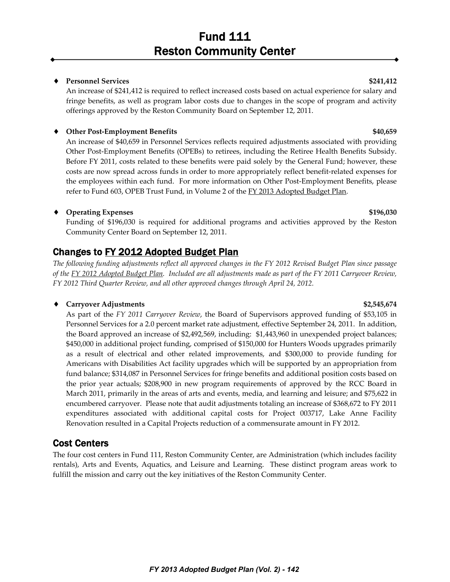#### ♦ **Personnel Services \$241,412**

An increase of \$241,412 is required to reflect increased costs based on actual experience for salary and fringe benefits, as well as program labor costs due to changes in the scope of program and activity offerings approved by the Reston Community Board on September 12, 2011.

#### ♦ **Other Post‐Employment Benefits \$40,659**

An increase of \$40,659 in Personnel Services reflects required adjustments associated with providing Other Post‐Employment Benefits (OPEBs) to retirees, including the Retiree Health Benefits Subsidy. Before FY 2011, costs related to these benefits were paid solely by the General Fund; however, these costs are now spread across funds in order to more appropriately reflect benefit-related expenses for the employees within each fund. For more information on Other Post-Employment Benefits, please refer to Fund 603, OPEB Trust Fund, in Volume 2 of the FY 2013 Adopted Budget Plan.

### ♦ **Operating Expenses \$196,030**

Funding of \$196,030 is required for additional programs and activities approved by the Reston Community Center Board on September 12, 2011.

# Changes to FY 2012 Adopted Budget Plan

The following funding adjustments reflect all approved changes in the FY 2012 Revised Budget Plan since passage of the FY 2012 Adopted Budget Plan. Included are all adjustments made as part of the FY 2011 Carryover Review, *FY 2012 Third Quarter Review, and all other approved changes through April 24, 2012.*

### ♦ **Carryover Adjustments \$2,545,674**

As part of the *FY 2011 Carryover Review*, the Board of Supervisors approved funding of \$53,105 in Personnel Services for a 2.0 percent market rate adjustment, effective September 24, 2011. In addition, the Board approved an increase of \$2,492,569, including: \$1,443,960 in unexpended project balances; \$450,000 in additional project funding, comprised of \$150,000 for Hunters Woods upgrades primarily as a result of electrical and other related improvements, and \$300,000 to provide funding for Americans with Disabilities Act facility upgrades which will be supported by an appropriation from fund balance; \$314,087 in Personnel Services for fringe benefits and additional position costs based on the prior year actuals; \$208,900 in new program requirements of approved by the RCC Board in March 2011, primarily in the areas of arts and events, media, and learning and leisure; and \$75,622 in encumbered carryover. Please note that audit adjustments totaling an increase of \$368,672 to FY 2011 expenditures associated with additional capital costs for Project 003717, Lake Anne Facility Renovation resulted in a Capital Projects reduction of a commensurate amount in FY 2012.

## Cost Centers

The four cost centers in Fund 111, Reston Community Center, are Administration (which includes facility rentals), Arts and Events, Aquatics, and Leisure and Learning. These distinct program areas work to fulfill the mission and carry out the key initiatives of the Reston Community Center.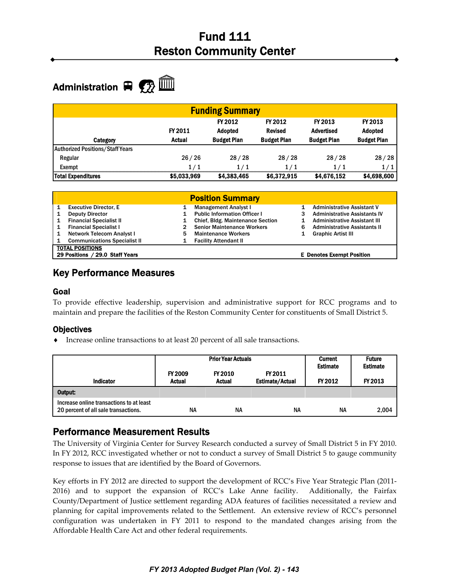# Administration  $\mathbf{F}$   $\mathbf{F}$   $\mathbf{F}$

| <b>Funding Summary</b>                  |                   |                                                 |                                                 |                                                    |                                                 |
|-----------------------------------------|-------------------|-------------------------------------------------|-------------------------------------------------|----------------------------------------------------|-------------------------------------------------|
| <b>Category</b>                         | FY 2011<br>Actual | FY 2012<br><b>Adopted</b><br><b>Budget Plan</b> | FY 2012<br><b>Revised</b><br><b>Budget Plan</b> | FY 2013<br><b>Advertised</b><br><b>Budget Plan</b> | FY 2013<br><b>Adopted</b><br><b>Budget Plan</b> |
| <b>Authorized Positions/Staff Years</b> |                   |                                                 |                                                 |                                                    |                                                 |
| Regular                                 | 26/26             | 28/28                                           | 28/28                                           | 28/28                                              | 28/28                                           |
| Exempt                                  | 1/1               | 1/1                                             | 1/1                                             | 1/1                                                | 1/1                                             |
| <b>Total Expenditures</b>               | \$5,033,969       | \$4,383,465                                     | \$6,372,915                                     | \$4,676,152                                        | \$4,698,600                                     |

|   | <b>Position Summary</b>                                   |   |                                         |   |                                     |  |  |
|---|-----------------------------------------------------------|---|-----------------------------------------|---|-------------------------------------|--|--|
|   | <b>Executive Director, E</b>                              |   | <b>Management Analyst I</b>             |   | <b>Administrative Assistant V</b>   |  |  |
|   | <b>Deputy Director</b>                                    |   | <b>Public Information Officer I</b>     |   | <b>Administrative Assistants IV</b> |  |  |
| 1 | <b>Financial Specialist II</b>                            |   | <b>Chief, Bldg. Maintenance Section</b> |   | <b>Administrative Assistant III</b> |  |  |
|   | <b>Financial Specialist I</b>                             |   | <b>Senior Maintenance Workers</b>       | 6 | <b>Administrative Assistants II</b> |  |  |
| 1 | Network Telecom Analyst I                                 | 5 | <b>Maintenance Workers</b>              |   | <b>Graphic Artist III</b>           |  |  |
|   | <b>Communications Specialist II</b>                       |   | <b>Facility Attendant II</b>            |   |                                     |  |  |
|   | <b>TOTAL POSITIONS</b><br>29 Positions / 29.0 Staff Years |   |                                         |   | <b>E</b> Denotes Exempt Position    |  |  |
|   |                                                           |   |                                         |   |                                     |  |  |

## Key Performance Measures

#### Goal

To provide effective leadership, supervision and administrative support for RCC programs and to maintain and prepare the facilities of the Reston Community Center for constituents of Small District 5.

### **Objectives**

♦ Increase online transactions to at least 20 percent of all sale transactions.

| <b>Indicator</b>                                                                 | <b>FY 2009</b><br><b>Actual</b> | <b>Prior Year Actuals</b><br>FY 2010<br><b>Actual</b> | FY 2011<br><b>Estimate/Actual</b> | <b>Current</b><br><b>Estimate</b><br>FY 2012 | <b>Future</b><br><b>Estimate</b><br>FY 2013 |
|----------------------------------------------------------------------------------|---------------------------------|-------------------------------------------------------|-----------------------------------|----------------------------------------------|---------------------------------------------|
| Output:                                                                          |                                 |                                                       |                                   |                                              |                                             |
| Increase online transactions to at least<br>20 percent of all sale transactions. | <b>NA</b>                       | NΑ                                                    | <b>NA</b>                         | <b>NA</b>                                    | 2,004                                       |

# Performance Measurement Results

The University of Virginia Center for Survey Research conducted a survey of Small District 5 in FY 2010. In FY 2012, RCC investigated whether or not to conduct a survey of Small District 5 to gauge community response to issues that are identified by the Board of Governors.

Key efforts in FY 2012 are directed to support the development of RCC's Five Year Strategic Plan (2011-2016) and to support the expansion of RCC's Lake Anne facility. Additionally, the Fairfax County/Department of Justice settlement regarding ADA features of facilities necessitated a review and planning for capital improvements related to the Settlement. An extensive review of RCC's personnel configuration was undertaken in FY 2011 to respond to the mandated changes arising from the Affordable Health Care Act and other federal requirements.

#### *FY 2013 Adopted Budget Plan (Vol. 2) - 143*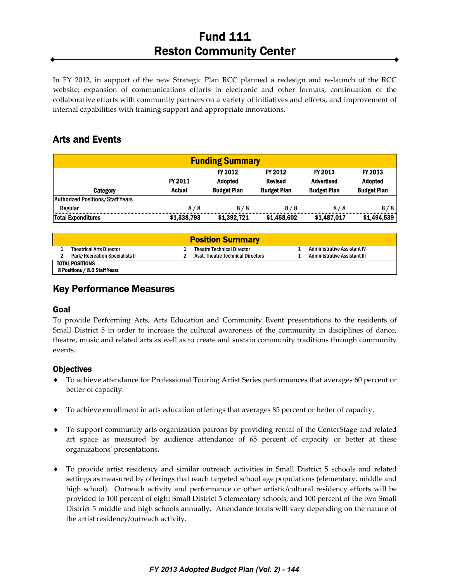In FY 2012, in support of the new Strategic Plan RCC planned a redesign and re‐launch of the RCC website; expansion of communications efforts in electronic and other formats, continuation of the collaborative efforts with community partners on a variety of initiatives and efforts, and improvement of internal capabilities with training support and appropriate innovations.

## Arts and Events

| <b>Funding Summary</b>           |                          |                                                 |                                                 |                                                    |                                                 |
|----------------------------------|--------------------------|-------------------------------------------------|-------------------------------------------------|----------------------------------------------------|-------------------------------------------------|
| Category                         | FY 2011<br><b>Actual</b> | FY 2012<br><b>Adopted</b><br><b>Budget Plan</b> | FY 2012<br><b>Revised</b><br><b>Budget Plan</b> | FY 2013<br><b>Advertised</b><br><b>Budget Plan</b> | FY 2013<br><b>Adopted</b><br><b>Budget Plan</b> |
| Authorized Positions/Staff Years |                          |                                                 |                                                 |                                                    |                                                 |
| Regular                          | 8/8                      | 8/8                                             | 8/8                                             | 8/8                                                | 8/8                                             |
| <b>Total Expenditures</b>        | \$1,338,793              | \$1,392,721                                     | \$1,458,602                                     | \$1,487,017                                        | \$1,494,539                                     |

|                                                  | <b>Position Summary</b>                  |                                    |
|--------------------------------------------------|------------------------------------------|------------------------------------|
| <b>Theatrical Arts Director</b>                  | <b>Theatre Technical Director</b>        | <b>Administrative Assistant IV</b> |
| <b>Park/Recreation Specialists II</b>            | <b>Asst. Theatre Technical Directors</b> | Administrative Assistant III       |
| TOTAL POSITIONS<br>8 Positions / 8.0 Staff Years |                                          |                                    |

## Key Performance Measures

### Goal

I

To provide Performing Arts, Arts Education and Community Event presentations to the residents of Small District 5 in order to increase the cultural awareness of the community in disciplines of dance, theatre, music and related arts as well as to create and sustain community traditions through community events.

### **Objectives**

- ♦ To achieve attendance for Professional Touring Artist Series performances that averages 60 percent or better of capacity.
- ♦ To achieve enrollment in arts education offerings that averages 85 percent or better of capacity.
- ♦ To support community arts organization patrons by providing rental of the CenterStage and related art space as measured by audience attendance of 65 percent of capacity or better at these organizationsʹ presentations.
- ♦ To provide artist residency and similar outreach activities in Small District 5 schools and related settings as measured by offerings that reach targeted school age populations (elementary, middle and high school). Outreach activity and performance or other artistic/cultural residency efforts will be provided to 100 percent of eight Small District 5 elementary schools, and 100 percent of the two Small District 5 middle and high schools annually. Attendance totals will vary depending on the nature of the artist residency/outreach activity.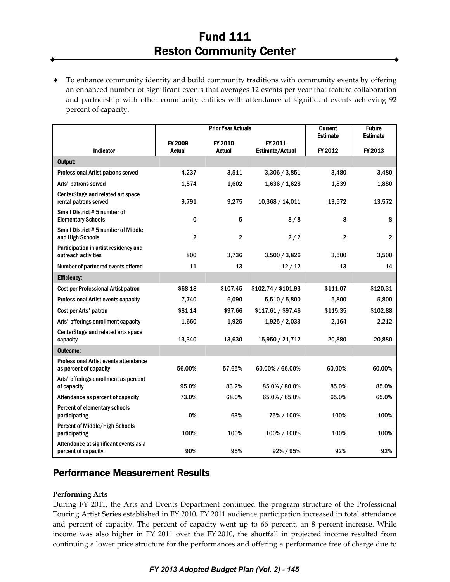♦ To enhance community identity and build community traditions with community events by offering an enhanced number of significant events that averages 12 events per year that feature collaboration and partnership with other community entities with attendance at significant events achieving 92 percent of capacity.

|                                                                        |                          | <b>Prior Year Actuals</b> |                                   | <b>Current</b><br><b>Estimate</b> | <b>Future</b><br><b>Estimate</b> |
|------------------------------------------------------------------------|--------------------------|---------------------------|-----------------------------------|-----------------------------------|----------------------------------|
| Indicator                                                              | FY 2009<br><b>Actual</b> | FY 2010<br><b>Actual</b>  | FY 2011<br><b>Estimate/Actual</b> | FY 2012                           | FY 2013                          |
| Output:                                                                |                          |                           |                                   |                                   |                                  |
| Professional Artist patrons served                                     | 4,237                    | 3,511                     | 3,306 / 3,851                     | 3.480                             | 3,480                            |
| Arts' patrons served                                                   | 1,574                    | 1,602                     | 1,636 / 1,628                     | 1,839                             | 1,880                            |
| CenterStage and related art space<br>rental patrons served             | 9,791                    | 9,275                     | 10,368 / 14,011                   | 13,572                            | 13,572                           |
| Small District #5 number of<br><b>Elementary Schools</b>               | 0                        | 5                         | 8/8                               | 8                                 | 8                                |
| Small District #5 number of Middle<br>and High Schools                 | $\overline{2}$           | 2                         | 2/2                               | $\overline{2}$                    | $\overline{\mathbf{2}}$          |
| Participation in artist residency and<br>outreach activities           | 800                      | 3,736                     | 3,500 / 3,826                     | 3,500                             | 3,500                            |
| Number of partnered events offered                                     | 11                       | 13                        | 12/12                             | 13                                | 14                               |
| <b>Efficiency:</b>                                                     |                          |                           |                                   |                                   |                                  |
| Cost per Professional Artist patron                                    | \$68.18                  | \$107.45                  | \$102.74 / \$101.93               | \$111.07                          | \$120.31                         |
| <b>Professional Artist events capacity</b>                             | 7,740                    | 6,090                     | 5,510/5,800                       | 5,800                             | 5,800                            |
| Cost per Arts' patron                                                  | \$81.14                  | \$97.66                   | \$117.61 / \$97.46                | \$115.35                          | \$102.88                         |
| Arts' offerings enrollment capacity                                    | 1,660                    | 1,925                     | 1,925 / 2,033                     | 2,164                             | 2,212                            |
| CenterStage and related arts space<br>capacity                         | 13,340                   | 13,630                    | 15,950 / 21,712                   | 20,880                            | 20,880                           |
| <b>Outcome:</b>                                                        |                          |                           |                                   |                                   |                                  |
| <b>Professional Artist events attendance</b><br>as percent of capacity | 56.00%                   | 57.65%                    | 60.00% / 66.00%                   | 60.00%                            | 60.00%                           |
| Arts' offerings enrollment as percent<br>of capacity                   | 95.0%                    | 83.2%                     | 85.0% / 80.0%                     | 85.0%                             | 85.0%                            |
| Attendance as percent of capacity                                      | 73.0%                    | 68.0%                     | 65.0% / 65.0%                     | 65.0%                             | 65.0%                            |
| Percent of elementary schools<br>participating                         | 0%                       | 63%                       | 75% / 100%                        | 100%                              | 100%                             |
| Percent of Middle/High Schools<br>participating                        | 100%                     | 100%                      | 100% / 100%                       | 100%                              | 100%                             |
| Attendance at significant events as a<br>percent of capacity.          | 90%                      | 95%                       | 92%/95%                           | 92%                               | 92%                              |

## Performance Measurement Results

#### **Performing Arts**

During FY 2011, the Arts and Events Department continued the program structure of the Professional Touring Artist Series established in FY 2010**.** FY 2011 audience participation increased in total attendance and percent of capacity. The percent of capacity went up to 66 percent, an 8 percent increase. While income was also higher in FY 2011 over the FY 2010, the shortfall in projected income resulted from continuing a lower price structure for the performances and offering a performance free of charge due to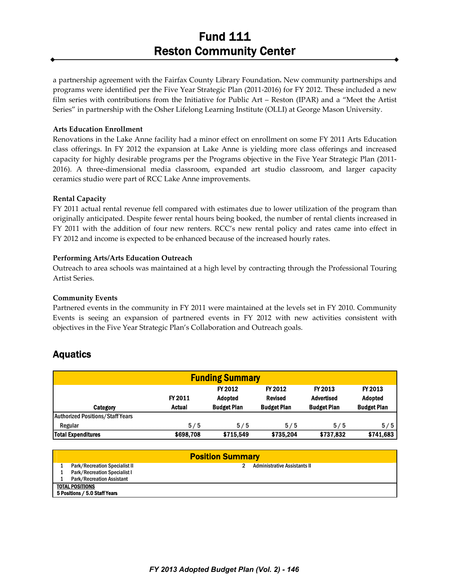a partnership agreement with the Fairfax County Library Foundation**.** New community partnerships and programs were identified per the Five Year Strategic Plan (2011‐2016) for FY 2012. These included a new film series with contributions from the Initiative for Public Art – Reston (IPAR) and a "Meet the Artist Series" in partnership with the Osher Lifelong Learning Institute (OLLI) at George Mason University.

#### **Arts Education Enrollment**

Renovations in the Lake Anne facility had a minor effect on enrollment on some FY 2011 Arts Education class offerings. In FY 2012 the expansion at Lake Anne is yielding more class offerings and increased capacity for highly desirable programs per the Programs objective in the Five Year Strategic Plan (2011‐ 2016). A three‐dimensional media classroom, expanded art studio classroom, and larger capacity ceramics studio were part of RCC Lake Anne improvements.

#### **Rental Capacity**

FY 2011 actual rental revenue fell compared with estimates due to lower utilization of the program than originally anticipated. Despite fewer rental hours being booked, the number of rental clients increased in FY 2011 with the addition of four new renters. RCC's new rental policy and rates came into effect in FY 2012 and income is expected to be enhanced because of the increased hourly rates.

#### **Performing Arts/Arts Education Outreach**

Outreach to area schools was maintained at a high level by contracting through the Professional Touring Artist Series.

#### **Community Events**

Partnered events in the community in FY 2011 were maintained at the levels set in FY 2010. Community Events is seeing an expansion of partnered events in FY 2012 with new activities consistent with objectives in the Five Year Strategic Plan's Collaboration and Outreach goals.

## Aquatics

| <b>Funding Summary</b>                  |               |                    |                    |                    |                    |
|-----------------------------------------|---------------|--------------------|--------------------|--------------------|--------------------|
|                                         |               | FY 2012            | FY 2012            | FY 2013            | FY 2013            |
|                                         | FY 2011       | <b>Adopted</b>     | <b>Revised</b>     | <b>Advertised</b>  | <b>Adopted</b>     |
| Category                                | <b>Actual</b> | <b>Budget Plan</b> | <b>Budget Plan</b> | <b>Budget Plan</b> | <b>Budget Plan</b> |
| <b>Authorized Positions/Staff Years</b> |               |                    |                    |                    |                    |
| Regular                                 | 5/5           | 5/5                | 5/5                | 5/5                | 5/5                |
| <b>Total Expenditures</b>               | \$698,708     | \$715.549          | \$735.204          | \$737,832          | \$741,683          |

| <b>Position Summary</b>              |                                     |  |  |  |  |
|--------------------------------------|-------------------------------------|--|--|--|--|
| <b>Park/Recreation Specialist II</b> | <b>Administrative Assistants II</b> |  |  |  |  |
| <b>Park/Recreation Specialist I</b>  |                                     |  |  |  |  |
| Park/Recreation Assistant            |                                     |  |  |  |  |
| <b>TOTAL POSITIONS</b>               |                                     |  |  |  |  |
| 5 Positions / 5.0 Staff Years        |                                     |  |  |  |  |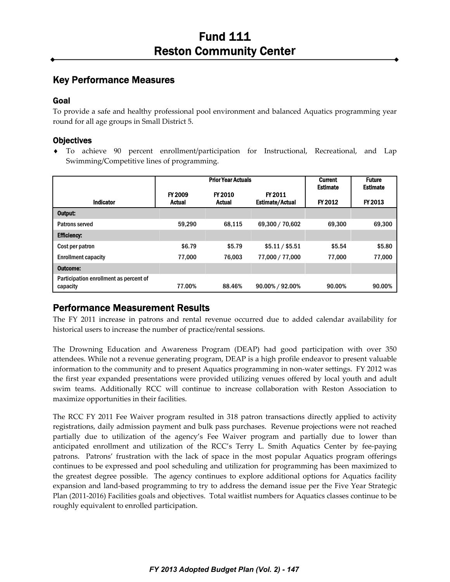## Key Performance Measures

### Goal

To provide a safe and healthy professional pool environment and balanced Aquatics programming year round for all age groups in Small District 5.

### **Objectives**

♦ To achieve 90 percent enrollment/participation for Instructional, Recreational, and Lap Swimming/Competitive lines of programming.

|                                                    |                                 | <b>Prior Year Actuals</b> |                                   | <b>Current</b><br><b>Estimate</b> | <b>Future</b><br><b>Estimate</b> |
|----------------------------------------------------|---------------------------------|---------------------------|-----------------------------------|-----------------------------------|----------------------------------|
| <b>Indicator</b>                                   | <b>FY 2009</b><br><b>Actual</b> | FY 2010<br><b>Actual</b>  | FY 2011<br><b>Estimate/Actual</b> | FY 2012                           | FY 2013                          |
| Output:                                            |                                 |                           |                                   |                                   |                                  |
| Patrons served                                     | 59.290                          | 68.115                    | 69,300 / 70,602                   | 69.300                            | 69,300                           |
| <b>Efficiency:</b>                                 |                                 |                           |                                   |                                   |                                  |
| Cost per patron                                    | \$6.79                          | \$5.79                    | \$5.11 / \$5.51                   | \$5.54                            | \$5.80                           |
| <b>Enrollment capacity</b>                         | 77.000                          | 76.003                    | 77,000 / 77,000                   | 77.000                            | 77,000                           |
| Outcome:                                           |                                 |                           |                                   |                                   |                                  |
| Participation enrollment as percent of<br>capacity | 77.00%                          | 88.46%                    | 90.00% / 92.00%                   | 90.00%                            | 90.00%                           |

# Performance Measurement Results

The FY 2011 increase in patrons and rental revenue occurred due to added calendar availability for historical users to increase the number of practice/rental sessions.

The Drowning Education and Awareness Program (DEAP) had good participation with over 350 attendees. While not a revenue generating program, DEAP is a high profile endeavor to present valuable information to the community and to present Aquatics programming in non‐water settings. FY 2012 was the first year expanded presentations were provided utilizing venues offered by local youth and adult swim teams. Additionally RCC will continue to increase collaboration with Reston Association to maximize opportunities in their facilities.

The RCC FY 2011 Fee Waiver program resulted in 318 patron transactions directly applied to activity registrations, daily admission payment and bulk pass purchases. Revenue projections were not reached partially due to utilization of the agency's Fee Waiver program and partially due to lower than anticipated enrollment and utilization of the RCC's Terry L. Smith Aquatics Center by fee‐paying patrons. Patrons' frustration with the lack of space in the most popular Aquatics program offerings continues to be expressed and pool scheduling and utilization for programming has been maximized to the greatest degree possible. The agency continues to explore additional options for Aquatics facility expansion and land‐based programming to try to address the demand issue per the Five Year Strategic Plan (2011‐2016) Facilities goals and objectives. Total waitlist numbers for Aquatics classes continue to be roughly equivalent to enrolled participation.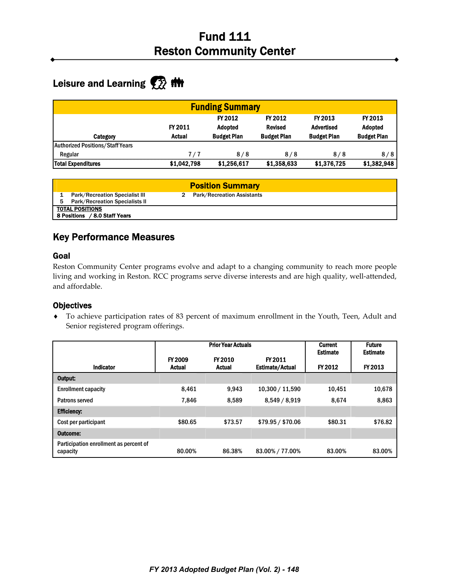# Leisure and Learning **<b>A** filt

|                                         |             | <b>Funding Summary</b> |                    |                    |                    |
|-----------------------------------------|-------------|------------------------|--------------------|--------------------|--------------------|
|                                         |             | FY 2012                | FY 2012            | FY 2013            | FY 2013            |
|                                         | FY 2011     | <b>Adopted</b>         | <b>Revised</b>     | <b>Advertised</b>  | <b>Adopted</b>     |
| Category                                | Actual      | <b>Budget Plan</b>     | <b>Budget Plan</b> | <b>Budget Plan</b> | <b>Budget Plan</b> |
| <b>Authorized Positions/Staff Years</b> |             |                        |                    |                    |                    |
| Regular                                 | 7/7         | 8/8                    | 8/8                | 8/8                | 8/8                |
| <b>Total Expenditures</b>               | \$1,042,798 | \$1.256.617            | \$1,358,633        | \$1,376,725        | \$1,382,948        |

|    |                                                                                | <b>Position Summary</b>           |
|----|--------------------------------------------------------------------------------|-----------------------------------|
| 5. | <b>Park/Recreation Specialist III</b><br><b>Park/Recreation Specialists II</b> | <b>Park/Recreation Assistants</b> |
|    | <b>TOTAL POSITIONS</b><br>8 Positions / 8.0 Staff Years                        |                                   |

## Key Performance Measures

### Goal

Reston Community Center programs evolve and adapt to a changing community to reach more people living and working in Reston. RCC programs serve diverse interests and are high quality, well‐attended, and affordable.

### **Objectives**

♦ To achieve participation rates of 83 percent of maximum enrollment in the Youth, Teen, Adult and Senior registered program offerings.

|                                                    | <b>Prior Year Actuals</b> |                          |                                   | <b>Current</b>             | <b>Future</b>              |
|----------------------------------------------------|---------------------------|--------------------------|-----------------------------------|----------------------------|----------------------------|
| <b>Indicator</b>                                   | FY 2009<br><b>Actual</b>  | FY 2010<br><b>Actual</b> | FY 2011<br><b>Estimate/Actual</b> | <b>Estimate</b><br>FY 2012 | <b>Estimate</b><br>FY 2013 |
| Output:                                            |                           |                          |                                   |                            |                            |
| <b>Enrollment capacity</b>                         | 8.461                     | 9.943                    | 10,300 / 11,590                   | 10,451                     | 10,678                     |
| Patrons served                                     | 7.846                     | 8,589                    | 8,549 / 8,919                     | 8,674                      | 8,863                      |
| <b>Efficiency:</b>                                 |                           |                          |                                   |                            |                            |
| Cost per participant                               | \$80.65                   | \$73.57                  | \$79.95 / \$70.06                 | \$80.31                    | \$76.82                    |
| Outcome:                                           |                           |                          |                                   |                            |                            |
| Participation enrollment as percent of<br>capacity | 80.00%                    | 86.38%                   | 83.00% / 77.00%                   | 83.00%                     | 83.00%                     |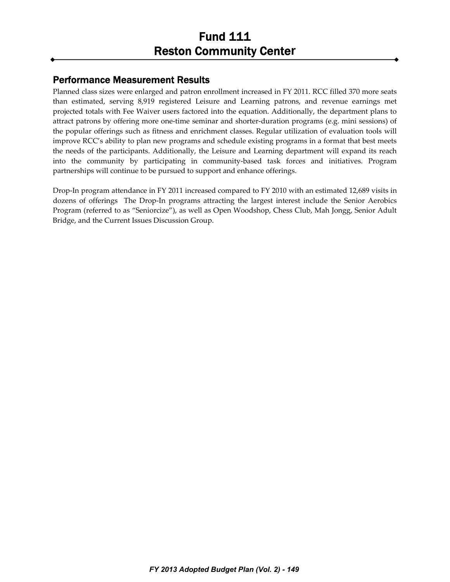## Performance Measurement Results

Planned class sizes were enlarged and patron enrollment increased in FY 2011. RCC filled 370 more seats than estimated, serving 8,919 registered Leisure and Learning patrons, and revenue earnings met projected totals with Fee Waiver users factored into the equation. Additionally, the department plans to attract patrons by offering more one‐time seminar and shorter‐duration programs (e.g. mini sessions) of the popular offerings such as fitness and enrichment classes. Regular utilization of evaluation tools will improve RCC's ability to plan new programs and schedule existing programs in a format that best meets the needs of the participants. Additionally, the Leisure and Learning department will expand its reach into the community by participating in community‐based task forces and initiatives. Program partnerships will continue to be pursued to support and enhance offerings.

Drop-In program attendance in FY 2011 increased compared to FY 2010 with an estimated 12,689 visits in dozens of offerings The Drop-In programs attracting the largest interest include the Senior Aerobics Program (referred to as "Seniorcize"), as well as Open Woodshop, Chess Club, Mah Jongg, Senior Adult Bridge, and the Current Issues Discussion Group.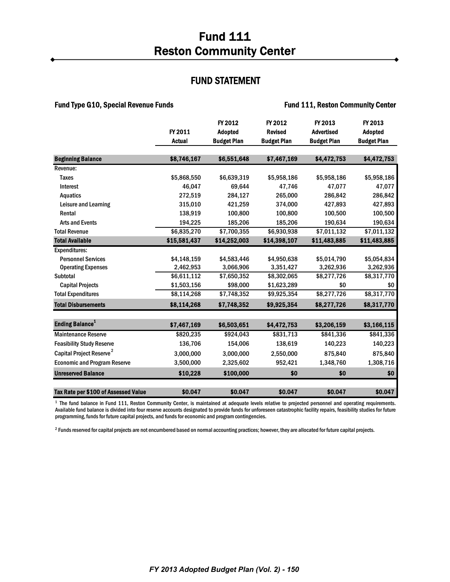### FUND STATEMENT

#### Fund Type G10, Special Revenue Funds Fund 111, Reston Community Center

|                                      |               | FY 2012            | FY 2012            | FY 2013            | FY 2013            |
|--------------------------------------|---------------|--------------------|--------------------|--------------------|--------------------|
|                                      | FY 2011       | <b>Adopted</b>     | <b>Revised</b>     | <b>Advertised</b>  | <b>Adopted</b>     |
|                                      | <b>Actual</b> | <b>Budget Plan</b> | <b>Budget Plan</b> | <b>Budget Plan</b> | <b>Budget Plan</b> |
|                                      |               |                    |                    |                    |                    |
| <b>Beginning Balance</b>             | \$8,746,167   | \$6,551,648        | \$7,467,169        | \$4,472,753        | \$4,472,753        |
| Revenue:                             |               |                    |                    |                    |                    |
| <b>Taxes</b>                         | \$5,868,550   | \$6,639,319        | \$5,958,186        | \$5,958,186        | \$5,958,186        |
| Interest                             | 46,047        | 69,644             | 47,746             | 47,077             | 47,077             |
| <b>Aquatics</b>                      | 272,519       | 284,127            | 265,000            | 286,842            | 286,842            |
| Leisure and Learning                 | 315,010       | 421.259            | 374,000            | 427.893            | 427,893            |
| Rental                               | 138,919       | 100,800            | 100.800            | 100,500            | 100,500            |
| <b>Arts and Events</b>               | 194,225       | 185,206            | 185,206            | 190,634            | 190,634            |
| <b>Total Revenue</b>                 | \$6,835,270   | \$7,700,355        | \$6,930,938        | \$7,011,132        | \$7,011,132        |
| <b>Total Available</b>               | \$15,581,437  | \$14,252,003       | \$14,398,107       | \$11,483,885       | \$11,483,885       |
| <b>Expenditures:</b>                 |               |                    |                    |                    |                    |
| <b>Personnel Services</b>            | \$4,148,159   | \$4,583,446        | \$4,950,638        | \$5,014,790        | \$5,054,834        |
| <b>Operating Expenses</b>            | 2,462,953     | 3,066,906          | 3,351,427          | 3,262,936          | 3,262,936          |
| Subtotal                             | \$6,611,112   | \$7,650,352        | \$8,302,065        | \$8,277,726        | \$8,317,770        |
| <b>Capital Projects</b>              | \$1,503,156   | \$98,000           | \$1,623,289        | \$0                | \$0                |
| <b>Total Expenditures</b>            | \$8,114,268   | \$7,748,352        | \$9,925,354        | \$8,277,726        | \$8,317,770        |
| <b>Total Disbursements</b>           | \$8,114,268   | \$7,748,352        | \$9.925.354        | \$8,277,726        | \$8,317,770        |
|                                      |               |                    |                    |                    |                    |
| <b>Ending Balance<sup>1</sup></b>    | \$7,467,169   | \$6,503,651        | \$4,472,753        | \$3,206,159        | \$3,166,115        |
| <b>Maintenance Reserve</b>           | \$820,235     | \$924,043          | \$831,713          | \$841,336          | \$841,336          |
| <b>Feasibility Study Reserve</b>     | 136,706       | 154,006            | 138,619            | 140,223            | 140,223            |
| Capital Project Reserve <sup>2</sup> | 3,000,000     | 3,000,000          | 2,550,000          | 875,840            | 875,840            |
| <b>Economic and Program Reserve</b>  | 3,500,000     | 2,325,602          | 952,421            | 1,348,760          | 1,308,716          |
| <b>Unreserved Balance</b>            | \$10,228      | \$100,000          | \$0                | \$0                | \$0                |
| Tax Rate per \$100 of Assessed Value | \$0.047       | \$0.047            | \$0.047            | \$0.047            | \$0.047            |

<sup>1</sup> The fund balance in Fund 111, Reston Community Center, is maintained at adequate levels relative to projected personnel and operating requirements. Available fund balance is divided into four reserve accounts designated to provide funds for unforeseen catastrophic facility repairs, feasibility studies for future programming, funds for future capital projects, and funds for economic and program contingencies.

 $^2$  Funds reserved for capital projects are not encumbered based on normal accounting practices; however, they are allocated for future capital projects.